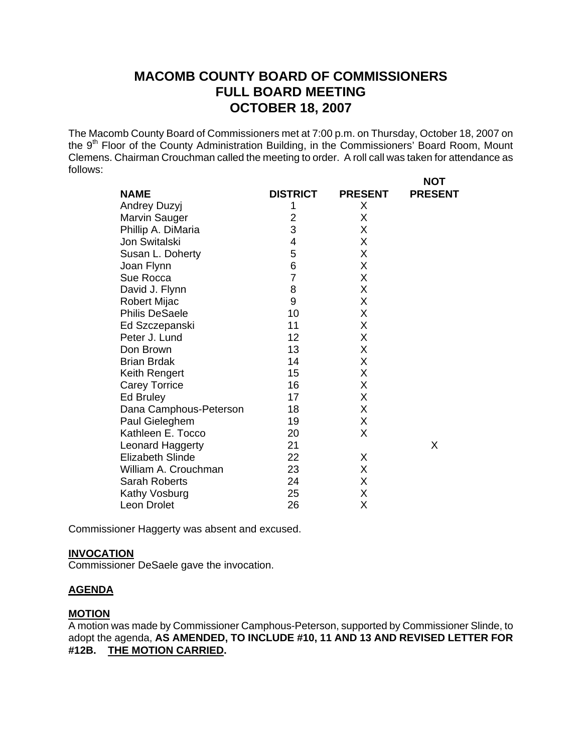# **MACOMB COUNTY BOARD OF COMMISSIONERS FULL BOARD MEETING OCTOBER 18, 2007**

The Macomb County Board of Commissioners met at 7:00 p.m. on Thursday, October 18, 2007 on the 9<sup>th</sup> Floor of the County Administration Building, in the Commissioners' Board Room, Mount Clemens. Chairman Crouchman called the meeting to order. A roll call was taken for attendance as follows: **NOT** 

| <b>NAME</b>             | <b>DISTRICT</b> | <b>PRESENT</b> | ו שיו<br><b>PRESENT</b> |
|-------------------------|-----------------|----------------|-------------------------|
| Andrey Duzyj            | 1               | X              |                         |
| Marvin Sauger           | 2               | X              |                         |
| Phillip A. DiMaria      | 3               | X              |                         |
| Jon Switalski           | 4               | Χ              |                         |
| Susan L. Doherty        | 5               | Χ              |                         |
| Joan Flynn              | 6               | X              |                         |
| Sue Rocca               | $\overline{7}$  | X              |                         |
| David J. Flynn          | 8               | X              |                         |
| <b>Robert Mijac</b>     | 9               | X              |                         |
| <b>Philis DeSaele</b>   | 10              | X              |                         |
| Ed Szczepanski          | 11              | Χ              |                         |
| Peter J. Lund           | 12              | Χ              |                         |
| Don Brown               | 13              | Χ              |                         |
| <b>Brian Brdak</b>      | 14              | Χ              |                         |
| Keith Rengert           | 15              | X              |                         |
| <b>Carey Torrice</b>    | 16              | Χ              |                         |
| Ed Bruley               | 17              | Χ              |                         |
| Dana Camphous-Peterson  | 18              | X              |                         |
| Paul Gieleghem          | 19              | Χ              |                         |
| Kathleen E. Tocco       | 20              | X              |                         |
| Leonard Haggerty        | 21              |                | X                       |
| <b>Elizabeth Slinde</b> | 22              | X              |                         |
| William A. Crouchman    | 23              | X              |                         |
| Sarah Roberts           | 24              | X              |                         |
| Kathy Vosburg           | 25              | X              |                         |
| Leon Drolet             | 26              | Χ              |                         |

Commissioner Haggerty was absent and excused.

#### **INVOCATION**

Commissioner DeSaele gave the invocation.

### **AGENDA**

#### **MOTION**

A motion was made by Commissioner Camphous-Peterson, supported by Commissioner Slinde, to adopt the agenda, **AS AMENDED, TO INCLUDE #10, 11 AND 13 AND REVISED LETTER FOR #12B. THE MOTION CARRIED.**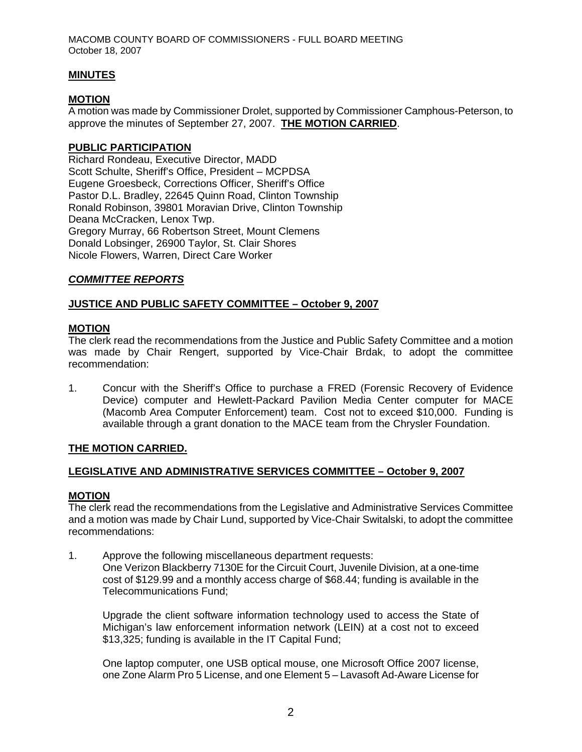### **MINUTES**

### **MOTION**

A motion was made by Commissioner Drolet, supported by Commissioner Camphous-Peterson, to approve the minutes of September 27, 2007. **THE MOTION CARRIED**.

### **PUBLIC PARTICIPATION**

Richard Rondeau, Executive Director, MADD Scott Schulte, Sheriff's Office, President – MCPDSA Eugene Groesbeck, Corrections Officer, Sheriff's Office Pastor D.L. Bradley, 22645 Quinn Road, Clinton Township Ronald Robinson, 39801 Moravian Drive, Clinton Township Deana McCracken, Lenox Twp. Gregory Murray, 66 Robertson Street, Mount Clemens Donald Lobsinger, 26900 Taylor, St. Clair Shores Nicole Flowers, Warren, Direct Care Worker

### *COMMITTEE REPORTS*

### **JUSTICE AND PUBLIC SAFETY COMMITTEE – October 9, 2007**

### **MOTION**

The clerk read the recommendations from the Justice and Public Safety Committee and a motion was made by Chair Rengert, supported by Vice-Chair Brdak, to adopt the committee recommendation:

1. Concur with the Sheriff's Office to purchase a FRED (Forensic Recovery of Evidence Device) computer and Hewlett-Packard Pavilion Media Center computer for MACE (Macomb Area Computer Enforcement) team. Cost not to exceed \$10,000. Funding is available through a grant donation to the MACE team from the Chrysler Foundation.

#### **THE MOTION CARRIED.**

#### **LEGISLATIVE AND ADMINISTRATIVE SERVICES COMMITTEE – October 9, 2007**

#### **MOTION**

The clerk read the recommendations from the Legislative and Administrative Services Committee and a motion was made by Chair Lund, supported by Vice-Chair Switalski, to adopt the committee recommendations:

1. Approve the following miscellaneous department requests: One Verizon Blackberry 7130E for the Circuit Court, Juvenile Division, at a one-time cost of \$129.99 and a monthly access charge of \$68.44; funding is available in the Telecommunications Fund;

Upgrade the client software information technology used to access the State of Michigan's law enforcement information network (LEIN) at a cost not to exceed \$13,325; funding is available in the IT Capital Fund;

One laptop computer, one USB optical mouse, one Microsoft Office 2007 license, one Zone Alarm Pro 5 License, and one Element 5 – Lavasoft Ad-Aware License for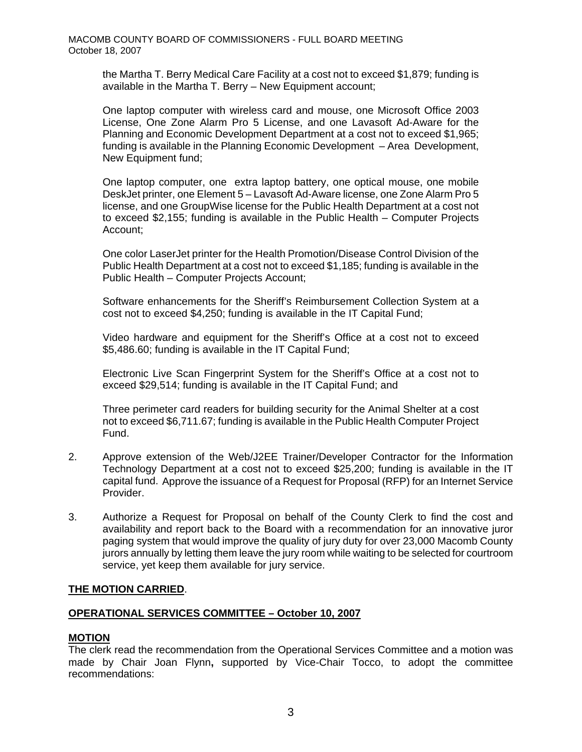the Martha T. Berry Medical Care Facility at a cost not to exceed \$1,879; funding is available in the Martha T. Berry – New Equipment account;

One laptop computer with wireless card and mouse, one Microsoft Office 2003 License, One Zone Alarm Pro 5 License, and one Lavasoft Ad-Aware for the Planning and Economic Development Department at a cost not to exceed \$1,965; funding is available in the Planning Economic Development – Area Development, New Equipment fund;

One laptop computer, one extra laptop battery, one optical mouse, one mobile DeskJet printer, one Element 5 – Lavasoft Ad-Aware license, one Zone Alarm Pro 5 license, and one GroupWise license for the Public Health Department at a cost not to exceed \$2,155; funding is available in the Public Health – Computer Projects Account;

One color LaserJet printer for the Health Promotion/Disease Control Division of the Public Health Department at a cost not to exceed \$1,185; funding is available in the Public Health – Computer Projects Account;

Software enhancements for the Sheriff's Reimbursement Collection System at a cost not to exceed \$4,250; funding is available in the IT Capital Fund;

Video hardware and equipment for the Sheriff's Office at a cost not to exceed \$5,486.60; funding is available in the IT Capital Fund;

Electronic Live Scan Fingerprint System for the Sheriff's Office at a cost not to exceed \$29,514; funding is available in the IT Capital Fund; and

Three perimeter card readers for building security for the Animal Shelter at a cost not to exceed \$6,711.67; funding is available in the Public Health Computer Project Fund.

- 2. Approve extension of the Web/J2EE Trainer/Developer Contractor for the Information Technology Department at a cost not to exceed \$25,200; funding is available in the IT capital fund. Approve the issuance of a Request for Proposal (RFP) for an Internet Service Provider.
- 3. Authorize a Request for Proposal on behalf of the County Clerk to find the cost and availability and report back to the Board with a recommendation for an innovative juror paging system that would improve the quality of jury duty for over 23,000 Macomb County jurors annually by letting them leave the jury room while waiting to be selected for courtroom service, yet keep them available for jury service.

### **THE MOTION CARRIED**.

### **OPERATIONAL SERVICES COMMITTEE – October 10, 2007**

#### **MOTION**

The clerk read the recommendation from the Operational Services Committee and a motion was made by Chair Joan Flynn**,** supported by Vice-Chair Tocco, to adopt the committee recommendations: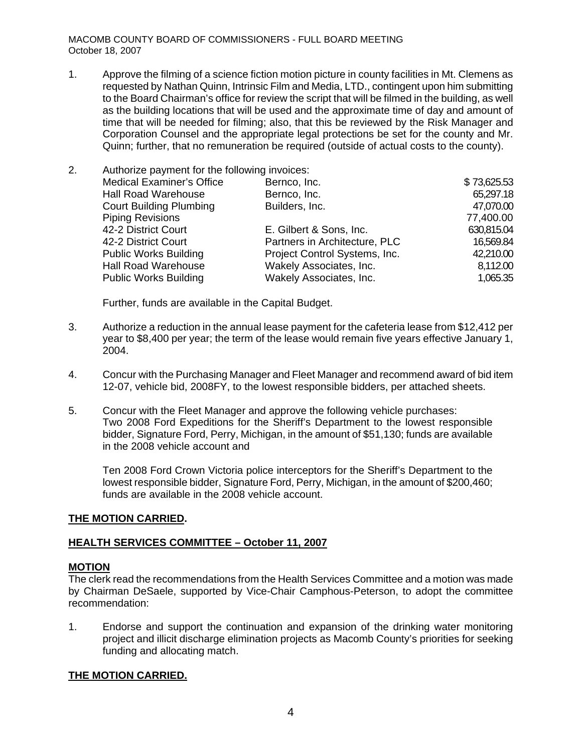1. Approve the filming of a science fiction motion picture in county facilities in Mt. Clemens as requested by Nathan Quinn, Intrinsic Film and Media, LTD., contingent upon him submitting to the Board Chairman's office for review the script that will be filmed in the building, as well as the building locations that will be used and the approximate time of day and amount of time that will be needed for filming; also, that this be reviewed by the Risk Manager and Corporation Counsel and the appropriate legal protections be set for the county and Mr. Quinn; further, that no remuneration be required (outside of actual costs to the county).

| <b>Medical Examiner's Office</b> | Bernco, Inc.                  | \$73,625.53                                   |
|----------------------------------|-------------------------------|-----------------------------------------------|
| <b>Hall Road Warehouse</b>       | Bernco, Inc.                  | 65,297.18                                     |
| <b>Court Building Plumbing</b>   | Builders, Inc.                | 47,070.00                                     |
| <b>Piping Revisions</b>          |                               | 77,400.00                                     |
| 42-2 District Court              | E. Gilbert & Sons, Inc.       | 630,815.04                                    |
| 42-2 District Court              | Partners in Architecture, PLC | 16,569.84                                     |
| <b>Public Works Building</b>     | Project Control Systems, Inc. | 42,210.00                                     |
| <b>Hall Road Warehouse</b>       | Wakely Associates, Inc.       | 8,112.00                                      |
| <b>Public Works Building</b>     | Wakely Associates, Inc.       | 1,065.35                                      |
|                                  |                               | Authorize payment for the following invoices: |

Further, funds are available in the Capital Budget.

- 3. Authorize a reduction in the annual lease payment for the cafeteria lease from \$12,412 per year to \$8,400 per year; the term of the lease would remain five years effective January 1, 2004.
- 4. Concur with the Purchasing Manager and Fleet Manager and recommend award of bid item 12-07, vehicle bid, 2008FY, to the lowest responsible bidders, per attached sheets.
- 5. Concur with the Fleet Manager and approve the following vehicle purchases: Two 2008 Ford Expeditions for the Sheriff's Department to the lowest responsible bidder, Signature Ford, Perry, Michigan, in the amount of \$51,130; funds are available in the 2008 vehicle account and

Ten 2008 Ford Crown Victoria police interceptors for the Sheriff's Department to the lowest responsible bidder, Signature Ford, Perry, Michigan, in the amount of \$200,460; funds are available in the 2008 vehicle account.

#### **THE MOTION CARRIED.**

### **HEALTH SERVICES COMMITTEE – October 11, 2007**

#### **MOTION**

The clerk read the recommendations from the Health Services Committee and a motion was made by Chairman DeSaele, supported by Vice-Chair Camphous-Peterson, to adopt the committee recommendation:

1. Endorse and support the continuation and expansion of the drinking water monitoring project and illicit discharge elimination projects as Macomb County's priorities for seeking funding and allocating match.

### **THE MOTION CARRIED.**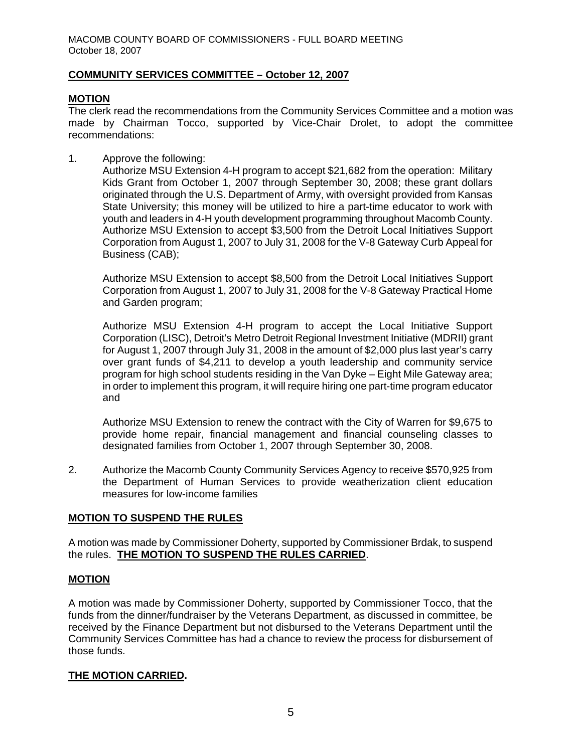### **COMMUNITY SERVICES COMMITTEE – October 12, 2007**

# **MOTION**

The clerk read the recommendations from the Community Services Committee and a motion was made by Chairman Tocco, supported by Vice-Chair Drolet, to adopt the committee recommendations:

1. Approve the following:

Authorize MSU Extension 4-H program to accept \$21,682 from the operation: Military Kids Grant from October 1, 2007 through September 30, 2008; these grant dollars originated through the U.S. Department of Army, with oversight provided from Kansas State University; this money will be utilized to hire a part-time educator to work with youth and leaders in 4-H youth development programming throughout Macomb County. Authorize MSU Extension to accept \$3,500 from the Detroit Local Initiatives Support Corporation from August 1, 2007 to July 31, 2008 for the V-8 Gateway Curb Appeal for Business (CAB);

Authorize MSU Extension to accept \$8,500 from the Detroit Local Initiatives Support Corporation from August 1, 2007 to July 31, 2008 for the V-8 Gateway Practical Home and Garden program;

Authorize MSU Extension 4-H program to accept the Local Initiative Support Corporation (LISC), Detroit's Metro Detroit Regional Investment Initiative (MDRII) grant for August 1, 2007 through July 31, 2008 in the amount of \$2,000 plus last year's carry over grant funds of \$4,211 to develop a youth leadership and community service program for high school students residing in the Van Dyke – Eight Mile Gateway area; in order to implement this program, it will require hiring one part-time program educator and

Authorize MSU Extension to renew the contract with the City of Warren for \$9,675 to provide home repair, financial management and financial counseling classes to designated families from October 1, 2007 through September 30, 2008.

2. Authorize the Macomb County Community Services Agency to receive \$570,925 from the Department of Human Services to provide weatherization client education measures for low-income families

### **MOTION TO SUSPEND THE RULES**

A motion was made by Commissioner Doherty, supported by Commissioner Brdak, to suspend the rules. **THE MOTION TO SUSPEND THE RULES CARRIED**.

### **MOTION**

A motion was made by Commissioner Doherty, supported by Commissioner Tocco, that the funds from the dinner/fundraiser by the Veterans Department, as discussed in committee, be received by the Finance Department but not disbursed to the Veterans Department until the Community Services Committee has had a chance to review the process for disbursement of those funds.

#### **THE MOTION CARRIED.**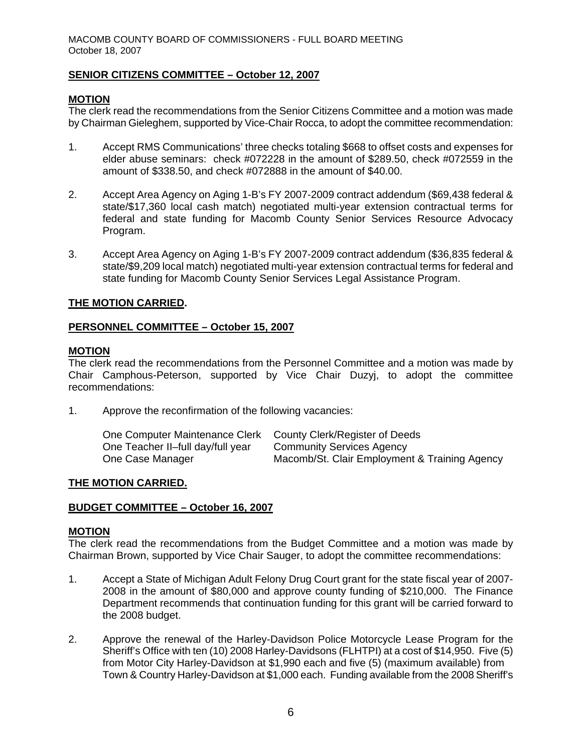### **SENIOR CITIZENS COMMITTEE – October 12, 2007**

### **MOTION**

The clerk read the recommendations from the Senior Citizens Committee and a motion was made by Chairman Gieleghem, supported by Vice-Chair Rocca, to adopt the committee recommendation:

- 1. Accept RMS Communications' three checks totaling \$668 to offset costs and expenses for elder abuse seminars: check #072228 in the amount of \$289.50, check #072559 in the amount of \$338.50, and check #072888 in the amount of \$40.00.
- 2. Accept Area Agency on Aging 1-B's FY 2007-2009 contract addendum (\$69,438 federal & state/\$17,360 local cash match) negotiated multi-year extension contractual terms for federal and state funding for Macomb County Senior Services Resource Advocacy Program.
- 3. Accept Area Agency on Aging 1-B's FY 2007-2009 contract addendum (\$36,835 federal & state/\$9,209 local match) negotiated multi-year extension contractual terms for federal and state funding for Macomb County Senior Services Legal Assistance Program.

### **THE MOTION CARRIED.**

### **PERSONNEL COMMITTEE – October 15, 2007**

#### **MOTION**

The clerk read the recommendations from the Personnel Committee and a motion was made by Chair Camphous-Peterson, supported by Vice Chair Duzyj, to adopt the committee recommendations:

1. Approve the reconfirmation of the following vacancies:

| One Computer Maintenance Clerk    | County Clerk/Register of Deeds                |
|-----------------------------------|-----------------------------------------------|
| One Teacher II-full day/full year | <b>Community Services Agency</b>              |
| One Case Manager                  | Macomb/St. Clair Employment & Training Agency |

#### **THE MOTION CARRIED.**

#### **BUDGET COMMITTEE – October 16, 2007**

### **MOTION**

The clerk read the recommendations from the Budget Committee and a motion was made by Chairman Brown, supported by Vice Chair Sauger, to adopt the committee recommendations:

- 1. Accept a State of Michigan Adult Felony Drug Court grant for the state fiscal year of 2007- 2008 in the amount of \$80,000 and approve county funding of \$210,000. The Finance Department recommends that continuation funding for this grant will be carried forward to the 2008 budget.
- 2. Approve the renewal of the Harley-Davidson Police Motorcycle Lease Program for the Sheriff's Office with ten (10) 2008 Harley-Davidsons (FLHTPI) at a cost of \$14,950. Five (5) from Motor City Harley-Davidson at \$1,990 each and five (5) (maximum available) from Town & Country Harley-Davidson at \$1,000 each. Funding available from the 2008 Sheriff's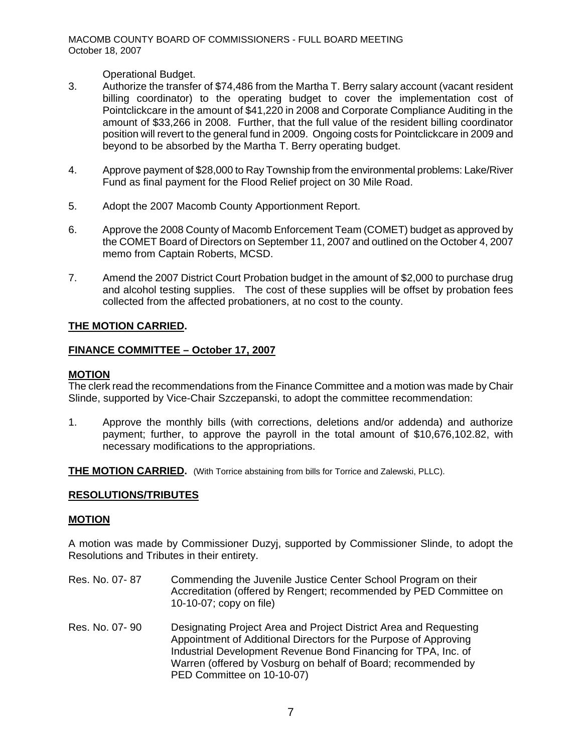Operational Budget.

- 3. Authorize the transfer of \$74,486 from the Martha T. Berry salary account (vacant resident billing coordinator) to the operating budget to cover the implementation cost of Pointclickcare in the amount of \$41,220 in 2008 and Corporate Compliance Auditing in the amount of \$33,266 in 2008. Further, that the full value of the resident billing coordinator position will revert to the general fund in 2009. Ongoing costs for Pointclickcare in 2009 and beyond to be absorbed by the Martha T. Berry operating budget.
- 4. Approve payment of \$28,000 to Ray Township from the environmental problems: Lake/River Fund as final payment for the Flood Relief project on 30 Mile Road.
- 5. Adopt the 2007 Macomb County Apportionment Report.
- 6. Approve the 2008 County of Macomb Enforcement Team (COMET) budget as approved by the COMET Board of Directors on September 11, 2007 and outlined on the October 4, 2007 memo from Captain Roberts, MCSD.
- 7. Amend the 2007 District Court Probation budget in the amount of \$2,000 to purchase drug and alcohol testing supplies. The cost of these supplies will be offset by probation fees collected from the affected probationers, at no cost to the county.

### **THE MOTION CARRIED.**

### **FINANCE COMMITTEE – October 17, 2007**

#### **MOTION**

The clerk read the recommendations from the Finance Committee and a motion was made by Chair Slinde, supported by Vice-Chair Szczepanski, to adopt the committee recommendation:

1. Approve the monthly bills (with corrections, deletions and/or addenda) and authorize payment; further, to approve the payroll in the total amount of \$10,676,102.82, with necessary modifications to the appropriations.

**THE MOTION CARRIED.** (With Torrice abstaining from bills for Torrice and Zalewski, PLLC).

#### **RESOLUTIONS/TRIBUTES**

#### **MOTION**

A motion was made by Commissioner Duzyj, supported by Commissioner Slinde, to adopt the Resolutions and Tributes in their entirety.

- Res. No. 07-87 Commending the Juvenile Justice Center School Program on their Accreditation (offered by Rengert; recommended by PED Committee on 10-10-07; copy on file)
- Res. No. 07- 90 Designating Project Area and Project District Area and RequestingAppointment of Additional Directors for the Purpose of Approving Industrial Development Revenue Bond Financing for TPA, Inc. of Warren (offered by Vosburg on behalf of Board; recommended by PED Committee on 10-10-07)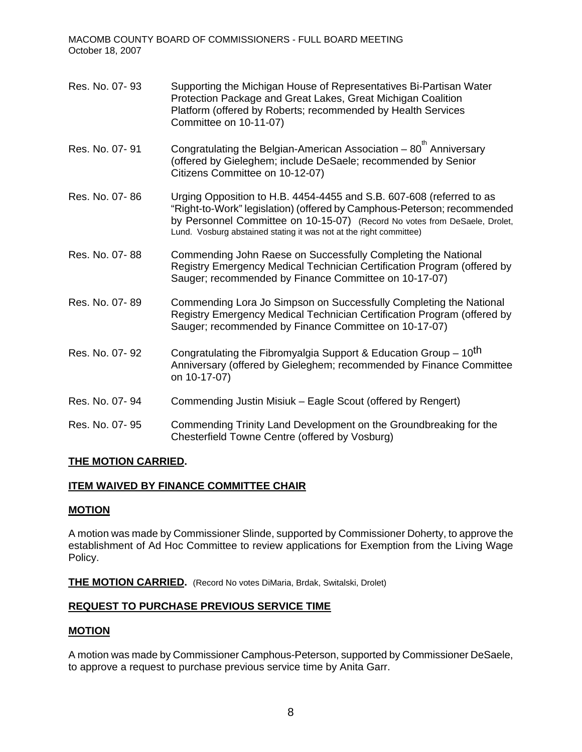| Res. No. 07-93 | Supporting the Michigan House of Representatives Bi-Partisan Water<br>Protection Package and Great Lakes, Great Michigan Coalition<br>Platform (offered by Roberts; recommended by Health Services<br>Committee on 10-11-07)                                                                        |
|----------------|-----------------------------------------------------------------------------------------------------------------------------------------------------------------------------------------------------------------------------------------------------------------------------------------------------|
| Res. No. 07-91 | Congratulating the Belgian-American Association - 80 <sup>th</sup> Anniversary<br>(offered by Gieleghem; include DeSaele; recommended by Senior<br>Citizens Committee on 10-12-07)                                                                                                                  |
| Res. No. 07-86 | Urging Opposition to H.B. 4454-4455 and S.B. 607-608 (referred to as<br>"Right-to-Work" legislation) (offered by Camphous-Peterson; recommended<br>by Personnel Committee on 10-15-07) (Record No votes from DeSaele, Drolet,<br>Lund. Vosburg abstained stating it was not at the right committee) |
| Res. No. 07-88 | Commending John Raese on Successfully Completing the National<br>Registry Emergency Medical Technician Certification Program (offered by<br>Sauger; recommended by Finance Committee on 10-17-07)                                                                                                   |
| Res. No. 07-89 | Commending Lora Jo Simpson on Successfully Completing the National<br>Registry Emergency Medical Technician Certification Program (offered by<br>Sauger; recommended by Finance Committee on 10-17-07)                                                                                              |
| Res. No. 07-92 | Congratulating the Fibromyalgia Support & Education Group – 10 <sup>th</sup><br>Anniversary (offered by Gieleghem; recommended by Finance Committee<br>on 10-17-07)                                                                                                                                 |
| Res. No. 07-94 | Commending Justin Misiuk - Eagle Scout (offered by Rengert)                                                                                                                                                                                                                                         |
| Res. No. 07-95 | Commending Trinity Land Development on the Groundbreaking for the<br>Chesterfield Towne Centre (offered by Vosburg)                                                                                                                                                                                 |

### **THE MOTION CARRIED.**

# **ITEM WAIVED BY FINANCE COMMITTEE CHAIR**

#### **MOTION**

A motion was made by Commissioner Slinde, supported by Commissioner Doherty, to approve the establishment of Ad Hoc Committee to review applications for Exemption from the Living Wage Policy.

**THE MOTION CARRIED.** (Record No votes DiMaria, Brdak, Switalski, Drolet)

### **REQUEST TO PURCHASE PREVIOUS SERVICE TIME**

### **MOTION**

A motion was made by Commissioner Camphous-Peterson, supported by Commissioner DeSaele, to approve a request to purchase previous service time by Anita Garr.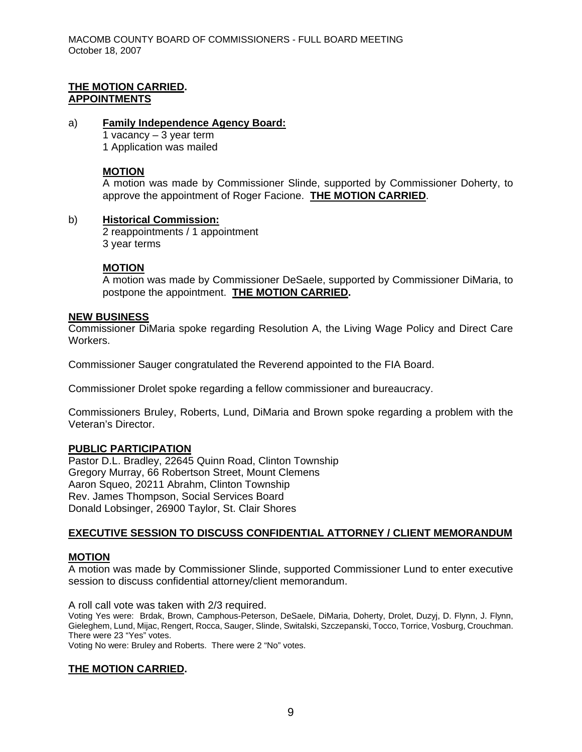### **THE MOTION CARRIED. APPOINTMENTS**

a) **Family Independence Agency Board:** 1 vacancy – 3 year term 1 Application was mailed

## **MOTION**

A motion was made by Commissioner Slinde, supported by Commissioner Doherty, to approve the appointment of Roger Facione. **THE MOTION CARRIED**.

### b) **Historical Commission:**

2 reappointments / 1 appointment 3 year terms

# **MOTION**

A motion was made by Commissioner DeSaele, supported by Commissioner DiMaria, to postpone the appointment. **THE MOTION CARRIED.** 

### **NEW BUSINESS**

Commissioner DiMaria spoke regarding Resolution A, the Living Wage Policy and Direct Care Workers.

Commissioner Sauger congratulated the Reverend appointed to the FIA Board.

Commissioner Drolet spoke regarding a fellow commissioner and bureaucracy.

Commissioners Bruley, Roberts, Lund, DiMaria and Brown spoke regarding a problem with the Veteran's Director.

### **PUBLIC PARTICIPATION**

Pastor D.L. Bradley, 22645 Quinn Road, Clinton Township Gregory Murray, 66 Robertson Street, Mount Clemens Aaron Squeo, 20211 Abrahm, Clinton Township Rev. James Thompson, Social Services Board Donald Lobsinger, 26900 Taylor, St. Clair Shores

### **EXECUTIVE SESSION TO DISCUSS CONFIDENTIAL ATTORNEY / CLIENT MEMORANDUM**

### **MOTION**

A motion was made by Commissioner Slinde, supported Commissioner Lund to enter executive session to discuss confidential attorney/client memorandum.

A roll call vote was taken with 2/3 required.

Voting Yes were: Brdak, Brown, Camphous-Peterson, DeSaele, DiMaria, Doherty, Drolet, Duzyj, D. Flynn, J. Flynn, Gieleghem, Lund, Mijac, Rengert, Rocca, Sauger, Slinde, Switalski, Szczepanski, Tocco, Torrice, Vosburg, Crouchman. There were 23 "Yes" votes.

Voting No were: Bruley and Roberts. There were 2 "No" votes.

### **THE MOTION CARRIED.**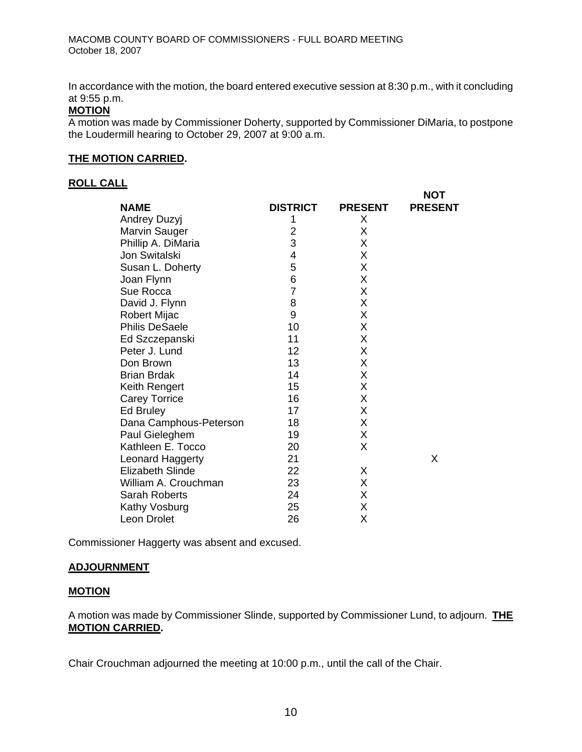In accordance with the motion, the board entered executive session at 8:30 p.m., with it concluding at 9:55 p.m.

### **MOTION**

A motion was made by Commissioner Doherty, supported by Commissioner DiMaria, to postpone the Loudermill hearing to October 29, 2007 at 9:00 a.m.

 $\ddot{\mathbf{v}}$ 

#### **THE MOTION CARRIED.**

### **ROLL CALL**

|                         |                 |                | NUI            |
|-------------------------|-----------------|----------------|----------------|
| <b>NAME</b>             | <b>DISTRICT</b> | <b>PRESENT</b> | <b>PRESENT</b> |
| Andrey Duzyj            | 1               | Χ              |                |
| <b>Marvin Sauger</b>    | 2               | X              |                |
| Phillip A. DiMaria      | 3               | X              |                |
| Jon Switalski           | 4               | X              |                |
| Susan L. Doherty        | 5               | Χ              |                |
| Joan Flynn              | 6               | X              |                |
| Sue Rocca               | $\overline{7}$  | Χ              |                |
| David J. Flynn          | 8               | Χ              |                |
| <b>Robert Mijac</b>     | 9               | X              |                |
| <b>Philis DeSaele</b>   | 10              | Χ              |                |
| Ed Szczepanski          | 11              | Χ              |                |
| Peter J. Lund           | 12              | X              |                |
| Don Brown               | 13              | X              |                |
| <b>Brian Brdak</b>      | 14              | X              |                |
| Keith Rengert           | 15              | Χ              |                |
| <b>Carey Torrice</b>    | 16              | X              |                |
| Ed Bruley               | 17              | X              |                |
| Dana Camphous-Peterson  | 18              | X              |                |
| Paul Gieleghem          | 19              | X              |                |
| Kathleen E. Tocco       | 20              | X              |                |
| Leonard Haggerty        | 21              |                | X              |
| <b>Elizabeth Slinde</b> | 22              | X              |                |
| William A. Crouchman    | 23              | X              |                |
| Sarah Roberts           | 24              | X              |                |
| Kathy Vosburg           | 25              | Χ              |                |
| Leon Drolet             | 26              | Χ              |                |
|                         |                 |                |                |

Commissioner Haggerty was absent and excused.

### **ADJOURNMENT**

### **MOTION**

A motion was made by Commissioner Slinde, supported by Commissioner Lund, to adjourn. **THE MOTION CARRIED.** 

Chair Crouchman adjourned the meeting at 10:00 p.m., until the call of the Chair.